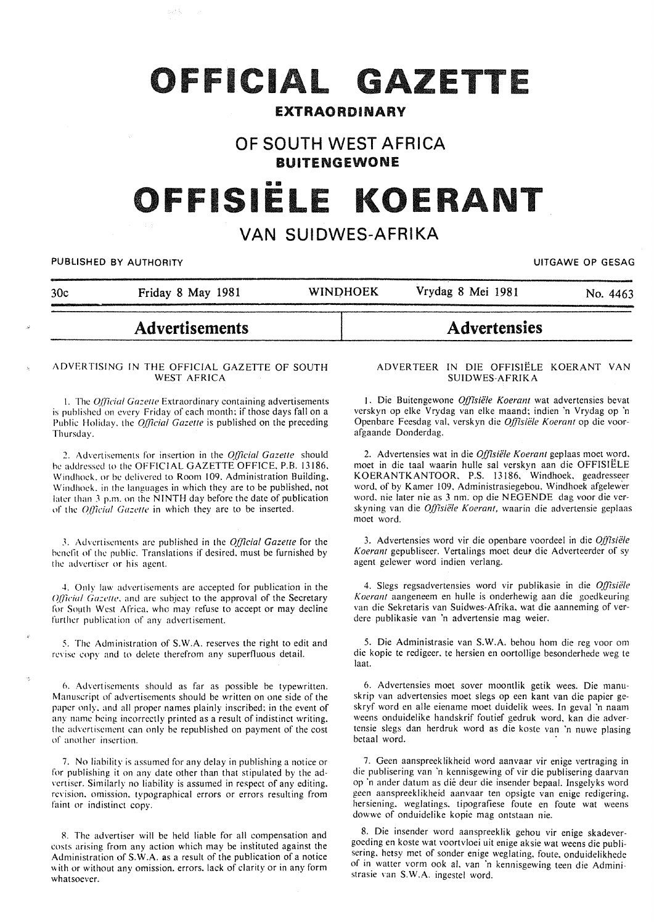# OFFICIAL GAZETTE

### **EXTRAORDINARY**

## **OF SOUTH WEST AFRICA BUITENGEWONE**

# FFISIËLE KOER/

# **VAN SUIDWES-AFRIKA**

**PUBLISHED BY AUTHORITY EXECUTE ASSESSED ASSESSED ASSESSED ASSESSED ASSESSED AT A PUBLISHED BY AUTHORITY** 

|     | <b>Advertisements</b> |                 | <b>Advertensies</b> |          |
|-----|-----------------------|-----------------|---------------------|----------|
| 30c | Friday 8 May 1981     | <b>WINDHOEK</b> | Vrydag 8 Mei 1981   | No. 4463 |

#### ADVERTISING IN THE OFFICIAL GAZETTE OF SOUTH WEST AFRICA

1. The *Official Gazette* Extraordinary containing advertisements is published on every Friday of each month; if those days fall on a Public Holiday. the *Q/]lcia/ Gazelle* is published on the preceding Thursday.

2. Advertisements for insertion in the *Q/]7cial Gazette* should he addressed to the OFFICIAL GAZETTE OFFICE. P.B. 13186. Windhoek. or be delivered to Room 109. Administration Building. \Vindhock. in the languages in which they are to be published. not later than *3* p.m. on the NINTH day before the date of publication of the *Official Gazette* in which they are to be inserted.

.\. Advertisements arc published in the *QIJicia/ Gazetle* for the benelit of the public. Translations if desired. must be furnished by the advertiser or his agent.

4. Only law advertisements arc accepted for publication in the *Official Gazette*, and are subject to the approval of the Secretary for South West Africa. who may refuse to accept or may decline further publication of any advertisement.

5. The Administration of S.W.A. reserves the right to edit and revise copy and to delete therefrom any superfluous detail.

6. Advertisements should as far as possible be typewritten. Manuscript of advertisements should be written on one side of the paper only. and all proper names plainly inscribed; in the event of any name being incorrectly printed as a result of indistinct writing. the advertisement can only be republished on payment of the cost of another insertion.

7. No liability is assumed for any delay in publishing a notice or for publishing it on any date other than that stipulated by the advertiser. Similarly no liability is assumed in respect of any editing. revision. omission. typographical errors or errors resulting from faint or indistinct copy.

8. The advertiser will be held liable for all compensation and costs arising from any action which may be instituted against the Administration of S.W.A. as a result of the publication of a notice with or without any omission. errors. lack of clarity or in any form whatsoever.

#### ADVERTEER IN DIE OFFISIELE KOERANT VAN SUIDWES-AFRIKA

1. Die Buitengewone Offisiële Koerant wat advertensies bevat verskyn op elke Vrydag van elke maand; indien 'n Vrydag op 'n Openbare Feesdag val, verskyn die Offisiële Koerant op die voorafgaande Donderdag.

2. Advertensies wat in die *Offisiële Koerant* geplaas moet word, moet in die taal waarin bulle sal verskyn aan die OFFISIELE KOERANTKANTOOR. P.S. 13186, Windhoek. geadresseer word, of by Kamer 109, Administrasiegebou. Windhoek afgelewer word. nie later nie as 3 nm. op die NEGENDE dag voor die verskyning van die *Offisiële Koerant*, waarin die advertensie geplaas moet word.

3. Advertensies word vir die openbare voordeel in die *Q/]7sii!/e Koerant* gepubliseer. Vertalings moet deut die Adverteerder of sy agent gelewer word indien verlang.

4. Slegs regsadvertensies word vir publikasie in die *Offisiele Koerant* aangeneem en bulle is onderhewig aan die goedkeuring van die Sekretaris van Suidwes-Afrika, wat die aanneming of verdere publikasie van 'n advertensie mag weier.

5. Die Administrasie van S.W.A. behou hom die reg voor om die kopie te redigeer. te hersien en oortollige besonderhedc weg te Ia at.

6. Advertensies moet sover moontlik getik wees. Die manuskrip van advertensies moet slegs op een kant van die papier geskryf word en alle eienamc moet duidelik wees. In geval 'n naam weens onduidelike handskrif foutief gedruk word, kan die advertensie slegs dan herdruk word as die koste van 'n nuwe plasing betaal word.

7. Geen aanspreeklikheid word aanvaar vir enige vertraging in die publisering van 'n kennisgewing of vir die publisering daarvan op ·n ander datum as die deur die insender bepaal. Insgelyks word geen aanspreeklikheid aanvaar ten opsigte van enige redigering. hersiening. weglatings. tipografiese foute en foute wat weens dowwe of onduidelike kopie mag ontstaan nie.

8. Die insender word aanspreeklik gehou vir enige skadevergoeding en koste wat voortvloei uit enige aksie wat weens die publisering. hetsy met of sonder enige weglating, foute. onduidelikhede of in watter vorm ook al, van 'n kennisgewing teen die Admini· strasie van S.W.A. ingestel word.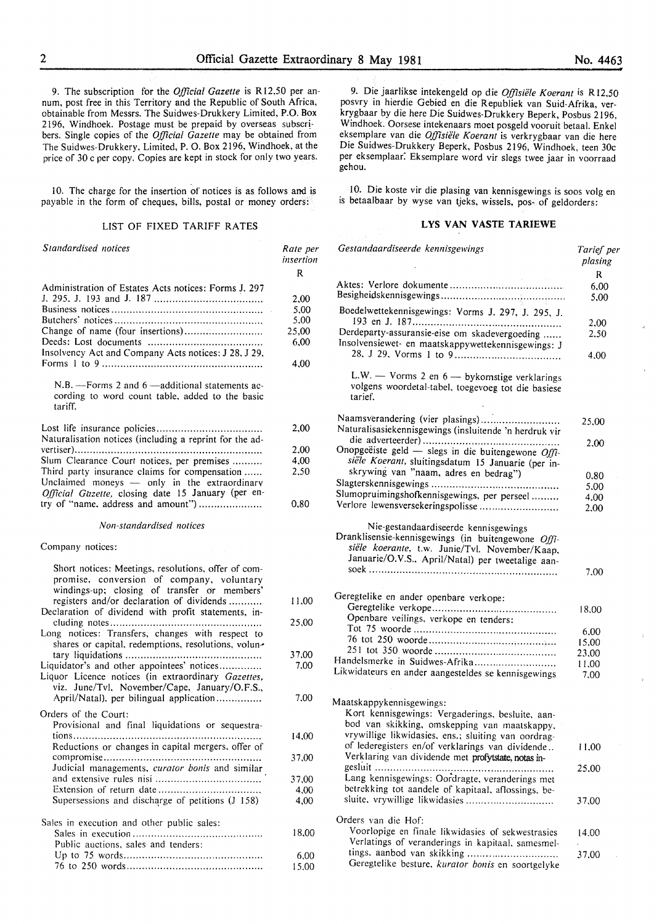9. The subscription for the *Official Gazette* is Rl2,50 per annum, post free in this Territory and the Republic of South Africa, obtainable from Messrs. The Suidwes-Drukkery Limited, P.O. Box 2196, Windhoek. Postage must be prepaid by overseas subscr! bers. Single copies of the *Official Gazette* may be obtained from The Suidwes-Drukkery, Limited, P. 0. Box 2196, Windhoek, at the price of 30 c per copy. Copies are kept in stock for only two years.

10. The charge for the insertion of notices is as follows and is payable in the form of cheques, bills, postal or money orders:

#### LIST OF FIXED TARIFF RATES

| Standardised notices                                                                                                                                                                                                                                 | Rate per<br>insertion<br>R                    |
|------------------------------------------------------------------------------------------------------------------------------------------------------------------------------------------------------------------------------------------------------|-----------------------------------------------|
| Administration of Estates Acts notices: Forms J. 297<br>Change of name (four insertions)<br>Insolvency Act and Company Acts notices: J 28, J 29,                                                                                                     | 2,00<br>5,00<br>5,00<br>25,00<br>6,00<br>4,00 |
| N.B. - Forms 2 and 6 - additional statements ac-<br>cording to word count table, added to the basic<br>tariff.                                                                                                                                       |                                               |
| Naturalisation notices (including a reprint for the ad-                                                                                                                                                                                              | 2,00                                          |
|                                                                                                                                                                                                                                                      | 2,00                                          |
| Slum Clearance Court notices, per premises                                                                                                                                                                                                           | 4,00                                          |
| Third party insurance claims for compensation<br>Unclaimed moneys - only in the extraordinary<br>Official Gazette, closing date 15 January (per en-<br>try of "name, address and amount")                                                            | 2,50                                          |
|                                                                                                                                                                                                                                                      | 0,80                                          |
| Non-standardised notices                                                                                                                                                                                                                             |                                               |
| Company notices:                                                                                                                                                                                                                                     |                                               |
| Short notices: Meetings, resolutions, offer of com-<br>promise, conversion of company, voluntary<br>windings-up; closing of transfer or members'<br>registers and/or declaration of dividends<br>Declaration of dividend with profit statements, in- | 11,00                                         |
| Long notices: Transfers, changes with respect to<br>shares or capital, redemptions, resolutions, volun-                                                                                                                                              | 25,00                                         |
|                                                                                                                                                                                                                                                      | 37,00                                         |
| Liquidator's and other appointees' notices<br>Liquor Licence notices (in extraordinary Gazettes,<br>viz. June/Tvl, November/Cape, January/O.F.S.,                                                                                                    | 7.00                                          |
| April/Natal), per bilingual application                                                                                                                                                                                                              | 7.00                                          |
| Orders of the Court:<br>Provisional and final liquidations or sequestra-                                                                                                                                                                             | 14,00                                         |
| Reductions or changes in capital mergers, offer of                                                                                                                                                                                                   |                                               |
| Judicial managements, curator bonis and similar                                                                                                                                                                                                      | 37,00                                         |
|                                                                                                                                                                                                                                                      | 37,00                                         |
|                                                                                                                                                                                                                                                      | 4,00                                          |
| Supersessions and discharge of petitions (J 158)                                                                                                                                                                                                     | 4,00                                          |
| Sales in execution and other public sales:                                                                                                                                                                                                           |                                               |
| Public auctions, sales and tenders:                                                                                                                                                                                                                  | 18,00                                         |
|                                                                                                                                                                                                                                                      | 6,00                                          |
|                                                                                                                                                                                                                                                      | 15.00                                         |

9. Die jaarlikse intekengeld op die *Offisiele Koerant* is R12.50 posvry in hierdie Gebied en die Republiek van Suid-Afrika, verkrygbaar by die here Die Suidwes-Drukkery Beperk, Posbus 2196, Windhoek. Oorsese intekenaars moet posgeld vooruit betaal. Enkel eksemplare van die *Offisiele Koerant* is verkrygbaar van die here Die Suidwes-Drukkery Beperk, Posbus 2196, Windhoek, teen 30c per eksemplaar: Eksemplare word vir slegs twee jaar in voorraad gehou.

10. Die koste vir die plasing van kennisgewings is soos volg en is betaalbaar by wyse van tjeks, wissels, pos- of geldorders:

#### **LYS VAN VASTE TARIEWE**

| Gestandaardiseerde kennisgewings                                                                                                                                                                  | Tarief per<br>plasing |
|---------------------------------------------------------------------------------------------------------------------------------------------------------------------------------------------------|-----------------------|
|                                                                                                                                                                                                   | R                     |
|                                                                                                                                                                                                   | 6,00                  |
|                                                                                                                                                                                                   | 5,00                  |
| Boedelwettekennisgewings: Vorms J. 297, J. 295, J.                                                                                                                                                |                       |
|                                                                                                                                                                                                   | 2.00                  |
| Derdeparty-assuransie-eise om skadevergoeding<br>Insolvensiewet- en maatskappywettekennisgewings: J                                                                                               | 2,50                  |
|                                                                                                                                                                                                   | 4.00                  |
| L.W. - Vorms 2 en 6 - bykomstige verklarings<br>volgens woordetal-tabel, toegevoeg tot die basiese<br>tarief.                                                                                     |                       |
| Naamsverandering (vier plasings)<br>Naturalisasiekennisgewings (insluitende 'n herdruk vir                                                                                                        | 25,00                 |
|                                                                                                                                                                                                   | 2,00                  |
| Onopgeëiste geld - slegs in die buitengewone Offi-                                                                                                                                                |                       |
| siële Koerant, sluitingsdatum 15 Januarie (per in-                                                                                                                                                |                       |
| skrywing van "naam, adres en bedrag")                                                                                                                                                             |                       |
|                                                                                                                                                                                                   | 0.80<br>5.00          |
| Slumopruimingshofkennisgewings, per perseel                                                                                                                                                       |                       |
| Verlore lewensversekeringspolisse                                                                                                                                                                 | 4.00                  |
|                                                                                                                                                                                                   | 2.00                  |
| Nie-gestandaardiseerde kennisgewings<br>Dranklisensie-kennisgewings (in buitengewone Offi-<br>siële koerante, t.w. Junie/Tvl. November/Kaap,<br>Januarie/O.V.S., April/Natal) per tweetalige aan- | 7.00                  |
|                                                                                                                                                                                                   |                       |
| Geregtelike en ander openbare verkope:                                                                                                                                                            |                       |
|                                                                                                                                                                                                   | 18.00                 |
| Openbare veilings, verkope en tenders:                                                                                                                                                            |                       |
|                                                                                                                                                                                                   | 6,00                  |
|                                                                                                                                                                                                   | 15.00                 |
|                                                                                                                                                                                                   | 23,00                 |
| Handelsmerke in Suidwes-Afrika                                                                                                                                                                    | 11.00                 |
| Likwidateurs en ander aangesteldes se kennisgewings                                                                                                                                               | 7,00                  |
| Maatskappykennisgewings:<br>Kort kennisgewings: Vergaderings, besluite, aan-                                                                                                                      |                       |
| bod van skikking, omskepping van maatskappy,                                                                                                                                                      |                       |
| vrywillige likwidasies, ens.; sluiting van oordrag-                                                                                                                                               |                       |
| of lederegisters en/of verklarings van dividende<br>Verklaring van dividende met profytstate, notas in-                                                                                           | 11,00                 |
|                                                                                                                                                                                                   | 25.00                 |
| Lang kennisgewings: Oordragte, veranderings met                                                                                                                                                   |                       |
| betrekking tot aandele of kapitaal, aflossings, be-                                                                                                                                               |                       |
| sluite, vrywillige likwidasies                                                                                                                                                                    | 37,00                 |
| Orders van die Hof:                                                                                                                                                                               |                       |
|                                                                                                                                                                                                   |                       |
| Voorlopige en finale likwidasies of sekwestrasies                                                                                                                                                 | 14.00                 |
| Verlatings of veranderings in kapitaal, samesmel-                                                                                                                                                 |                       |
| tings, aanbod van skikking<br>Geregtelike besture, kurator bonis en soortgelyke                                                                                                                   | 37,00                 |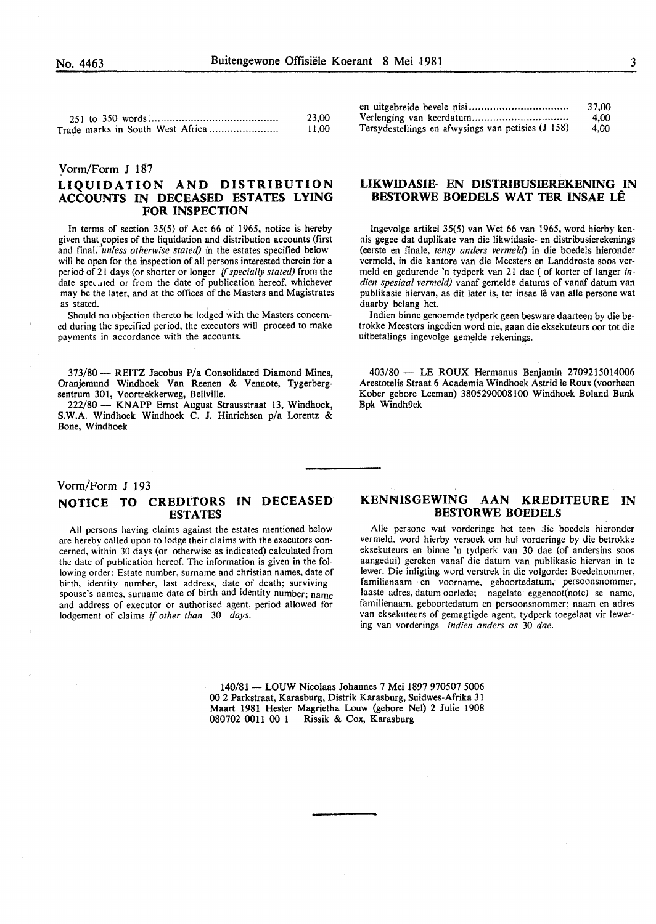|                                  | 23,00 |
|----------------------------------|-------|
| Trade marks in South West Africa | 11.00 |

#### Yorm/Form J 187

#### LIQUIDATION AND DISTRIBUTION ACCOUNTS IN DECEASED ESTATES LYING FOR INSPECTION

In terms of section 35(5) of Act 66 of 1965, notice is hereby given that copies of the liquidation and distribution accounts (first and fmai; *'unless otherwise stated)* in the estates specified below will be open for the inspection of all persons interested therein for a period of 21 days (or shorter or longer if *specially stated)* from the date spe, .11ed or from the date of publication hereof, whichever may be the later, and at the offices of the Masters and Magistrates as stated.

Should no objection thereto be lodged with the Masters concerned during the specified period, the executors will proceed to make payments in accordance with the accounts.

373/80 - REITZ Jacobus P/a Consolidated Diamond Mines, Oranjemund Windhoek Van Reenen & Vennote, Tygerbergsentrum 301, Voortrekkerweg, Bellville.

222/80 - KNAPP Ernst August Strausstraat 13, Windhoek, S.W.A. Windhoek Windhoek C. J. Hinrichsen p/a Lorentz & Bone, Windhoek

|                                                    | 37.00 |
|----------------------------------------------------|-------|
|                                                    | 4.00  |
| Tersydestellings en afwysings van petisies (J 158) | 4.00  |

#### LIKWIDASIE- EN DISTRIBUSffiREKENING IN BESTORWE BOEDELS WAT TER INSAE LE

lngevolge artikel 35(5) van Wet 66 van 1965, word hierby kennis gegee dat duplikate van die likwidasie- en distribusierekenings (eerste en finale, *tensy anders venneid)* in die boedels hieronder vermeld, in die kantore van die Meesters en Landdroste soos vermeld en gedurende 'n tydperk van 21 dae ( of korter of Ianger in*dien spesiaal vermeld)* vanaf gemelde datums of vanaf datum van publikasie hiervan, as dit later is, ter insae lê van alle persone wat daarby belang het.

Indien binne genoemde tydperk geen besware daarteen by die betrokke Meesters ingedien word nie, gaan die eksekuteurs oor tot die uitbetalings ingevolge gemelde rekenings.

403/80 - LE ROUX Hermanus Benjamin 2709215014006 Arestotelis Straat 6 Academia Windhoek Astrid le Roux (voorheen Kober gebore Leeman) 3805290008100 Windhoek Boland Bank Bpk Windh9ek

#### Vorm/Form J 193 NOTICE TO CREDITORS IN DECEASED ESTATES

All persons having claims against the estates mentioned below are hereby called upon to lodge their claims with the executors concerned, within 30 days (or otherwise as indicated) calculated from the date of publication hereof. The information is given in the following order: Estate number, surname and christian names. date of birth, identity number, last address, date of death; surviving spouse's names, surname date of birth and identity number; name and address of executor or authorised agent, period allowed for lodgement of claims if *other than* 30 *days.* 

#### KENNISGEWING AAN KREDITEORE IN BESTORWE BOEDELS

Alle persone wat vorderinge het teen die boedels hieronder vermeld, word hierby versoek om hul vorderinge by die betrokke eksekuteurs en binne 'n tydperk van 30 dae (of andersins soos aangedui) gereken vanaf die datum van publikasie hiervan in te lewer. Die inligting word verstrek in die volgorde: Boedelnommer, familienaam en voorname, geboortedatum, persoonsnommer, Iaaste adres, datum oorlede; nagelate eggenoot(note) se name, familienaam, geboortedatum en persoonsnommer; naam en adres van eksekuteurs of gemagtigde agent, tydperk toegelaat vir Iewering van vorderings *indien anders as* 30 *dae.* 

140/81- LOUW Nicolaas Johannes 7 Mei 1897 970507 5006 00 2 Parkstraat, Karasburg, Distrik Karasburg, Suidwes-Afrika 31 Maart 1981 Hester Magrietha Louw (gebore Nel) 2 Julie 1908 080702 0011 00 1 Rissik & Cox, Karasburg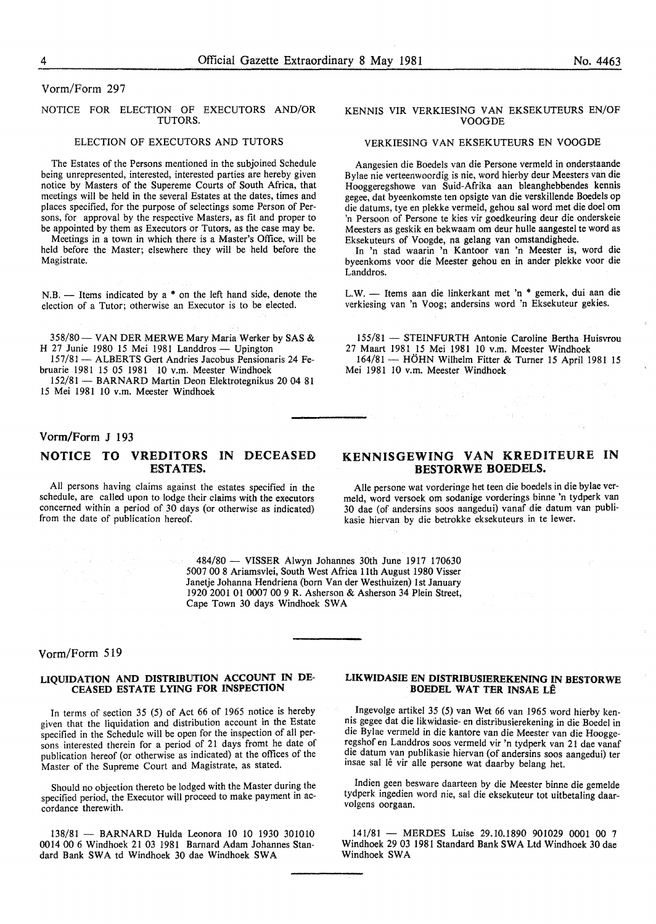#### Vorm/Form 297

#### NOTICE FOR ELECTION OF EXECUTORS AND/OR TUTORS.

#### ELECTION OF EXECUTORS AND TUTORS

The Estates of the Persons mentioned in the subjoined Schedule being unrepresented, interested, interested parties are hereby given notice by Masters of the Supereme Courts of South Africa, that meetings will be held in the several Estates at the dates, times and places specified, for the purpose of selectings some Person of Persons, for approval by the respective Masters, as fit and proper to be appointed by them as Executors or Tutors, as the case may be.

Meetings in a town in which there is a Master's Office, will be held before the Master; elsewhere they will be held before the Magistrate.

N.B. - Items indicated by a \* on the left hand side, denote the election of a Tutor; otherwise an Executor is to be elected.

358/80 - VAN DER MERWE Mary Maria Werker by SAS & H 27 Junie 1980 15 Mei 1981 Landdros - Upington

157/81 - ALBERTS Gert Andries Jacobus Pensionaris 24 Februarie 1981 15 05 1981 10 v.m. Meester Windhoek

152/81- BARNARD Martin Deon Elektrotegnikus 20 04 81 15 Mei 1981 10 v.m. Meester Windhoek

#### Vorm/Form J 193

#### NOTICE TO VREDITORS IN DECEASED ESTATES.

All persons having claims against the estates specified in the schedule, are called upon to lodge their claims with the executors concerned within a period of 30 days (or otherwise as indicated) from the date of publication hereof.

#### KENNIS VIR VERKIESING VAN EKSEKUTEURS EN/OF VOOGDE

#### VERKIESING VAN EKSEKUTEURS EN VOOGDE

Aangesien die Boedels van die Persone vermeld in onderstaande Bylae nie verteenwoordig is nie, word hierby deur Meesters van die Hooggeregshowe van Suid-Afrika aan bleanghebbendes kennis gegee, dat byeenkomste ten opsigte van die verskillende Boedels op die datums, tye en plekke vermeld, gehou sal word met die doe! om 'n Persoon of Persone te kies vir goedkeuring deur die onderskeie Meesters as geskik en bekwaam om deur hulle aangestel te word as Eksekuteurs of Voogde, na gelang van omstandighede.

In 'n stad waarin 'n Kantoor van 'n Meester is, word die byeenkoms voor die Meester gehou en in ander plekke voor die Landdros.

L.W. - Items aan die linkerkant met 'n \* gemerk, dui aan die verkiesing van 'n Voog; andersins word 'n Eksekuteur gekies.

155/81 - STEINFURTH Antonie Caroline Bertha Huisvrou 27 Maart 1981 15 Mei 1981 10 v.m. Meester Windhoek 164/81 - HOHN Wilhelm Fitter & Turner 15 April 1981 15 Mei 1981 10 v.m. Meester Windhoek

### KENNISGEWING VAN KREDITEURE IN BESTORWE BOEDELS.

Aile persone wat vorderinge het teen die boedels in die bylae vermeld, word versoek om sodanige vorderings binne 'n tydperk van 30 dae (of andersins soos aangedui) vanaf die datum van publikasie hiervan by die betrokke eksekuteurs in te lewer.

484/80 - VISSER Alwyn Johannes 30th June 1917 170630 5007 00 8 Ariamsvlei, South West Africa lith August 1980 Visser Janetje Johanna Hendriena (born Vander Westhuizen) 1st January 1920 2001 01 0007 00 9 R. Asherson & Asherson 34 Plein Street, Cape Town 30 days Windhoek SWA

#### Vorm/Form 519

#### LIQUIDATION AND DISTRIBUTION ACCOUNT IN DE-CEASED ESTATE LYING FOR INSPECTION

In terms of section 35 (5) of Act 66 of 1965 notice is hereby given that the liquidation and distribution account in the Estate specified in the Schedule will be open for the inspection of all persons interested therein for a period of 21 days fromt he date of publication hereof (or otherwise as indicated) at the offices of the Master of the Supreme Court and Magistrate, as stated.

Should no objection thereto be lodged with the Master during the specified period, the Executor will proceed to make payment in accordance therewith.

138/81 - BARNARD Hulda Leonora 10 10 1930 301010 0014 00 6 Windhoek 21 03 1981 Barnard Adam Johannes Standard Bank SWA td Windhoek 30 dae Windhoek SWA

#### LIKWIDASIE EN DISTRIBUSIEREKENING IN BESTORWE BOEDEL WAT TER INSAE LE

Ingevolge artikel 35 (5) van Wet 66 van 1965 word hierby kennis gegee dat die likwidasie- en distribusierekening in die Boedel in die Bylae vermeld in die kantore van die Meester van die Hooggeregshof en Landdros soos vermeld vir 'n tydperk van 21 dae vanaf die datum van publikasie hiervan (of andersins soos aangedui) ter insae sal lê vir alle persone wat daarby belang het.

Indien geen besware daarteen by die Meester binne die gemelde tydperk ingedien word nie, sal die eksekuteur tot uitbetaling daarvolgens oorgaan.

141/81 - MERDES Luise 29.10.1890 901029 0001 00 7 Windhoek 29 03 1981 Standard Bank SWA Ltd Windhoek 30 dae Windhoek SWA

 $\mathcal{V}_\mathrm{B}$